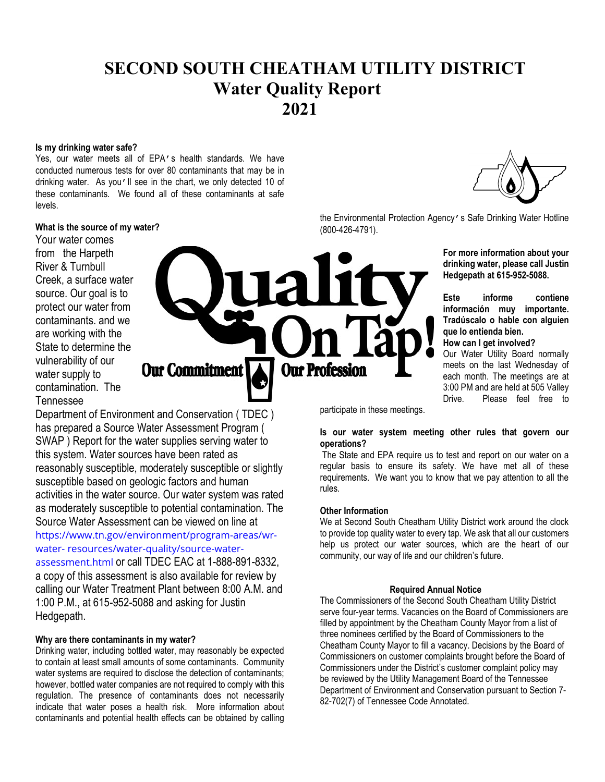# SECOND SOUTH CHEATHAM UTILITY DISTRICT Water Quality Report 2021

#### Is my drinking water safe?

Yes, our water meets all of EPA's health standards. We have conducted numerous tests for over 80 contaminants that may be in drinking water. As you'll see in the chart, we only detected 10 of these contaminants. We found all of these contaminants at safe levels.

has prepared a Source Water Assessment Program ( SWAP ) Report for the water supplies serving water to

reasonably susceptible, moderately susceptible or slightly

activities in the water source. Our water system was rated as moderately susceptible to potential contamination. The Source Water Assessment can be viewed on line at https://www.tn.gov/environment/program-areas/wr-

assessment.html or call TDEC EAC at 1-888-891-8332, a copy of this assessment is also available for review by calling our Water Treatment Plant between 8:00 A.M. and

this system. Water sources have been rated as

susceptible based on geologic factors and human

water- resources/water-quality/source-water-

1:00 P.M., at 615-952-5088 and asking for Justin

# What is the source of my water?

Your water comes from the Harpeth River & Turnbull Creek, a surface water source. Our goal is to protect our water from contaminants. and we are working with the State to determine the vulnerability of our water supply to contamination. The Tennessee

**Our Commitment Our Profession** Department of Environment and Conservation ( TDEC )

the Environmental Protection Agency's Safe Drinking Water Hotline (800-426-4791).

> For more information about your drinking water, please call Justin Hedgepath at 615-952-5088.

> Este informe contiene información muy importante. Tradúscalo o hable con alguien que lo entienda bien.

How can I get involved?

Our Water Utility Board normally meets on the last Wednesday of each month. The meetings are at 3:00 PM and are held at 505 Valley Drive. Please feel free to

participate in these meetings.

## Is our water system meeting other rules that govern our operations?

 The State and EPA require us to test and report on our water on a regular basis to ensure its safety. We have met all of these requirements. We want you to know that we pay attention to all the rules.

#### Other Information

We at Second South Cheatham Utility District work around the clock to provide top quality water to every tap. We ask that all our customers help us protect our water sources, which are the heart of our community, our way of life and our children's future.

#### Required Annual Notice

The Commissioners of the Second South Cheatham Utility District serve four-year terms. Vacancies on the Board of Commissioners are filled by appointment by the Cheatham County Mayor from a list of three nominees certified by the Board of Commissioners to the Cheatham County Mayor to fill a vacancy. Decisions by the Board of Commissioners on customer complaints brought before the Board of Commissioners under the District's customer complaint policy may be reviewed by the Utility Management Board of the Tennessee Department of Environment and Conservation pursuant to Section 7- 82-702(7) of Tennessee Code Annotated.

# Why are there contaminants in my water?

Hedgepath.

Drinking water, including bottled water, may reasonably be expected to contain at least small amounts of some contaminants. Community water systems are required to disclose the detection of contaminants; however, bottled water companies are not required to comply with this regulation. The presence of contaminants does not necessarily indicate that water poses a health risk. More information about contaminants and potential health effects can be obtained by calling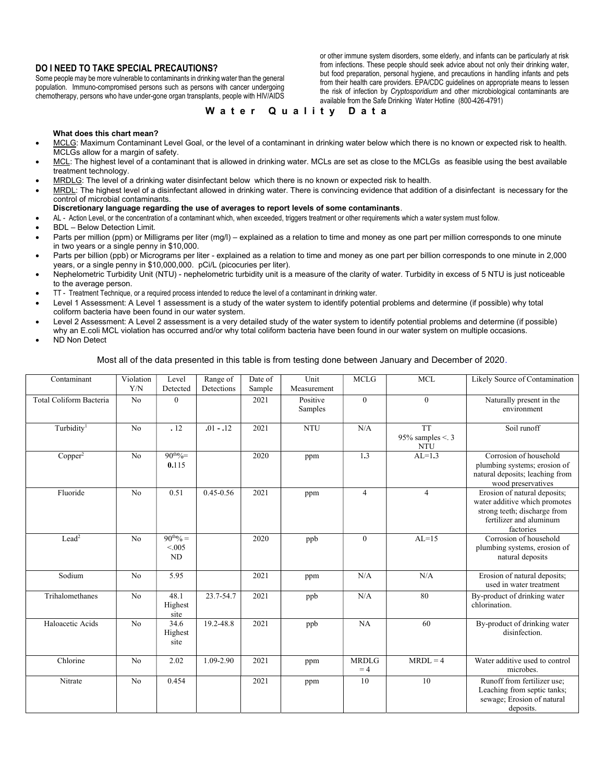## DO I NEED TO TAKE SPECIAL PRECAUTIONS?

Some people may be more vulnerable to contaminants in drinking water than the general population. Immuno-compromised persons such as persons with cancer undergoing chemotherapy, persons who have under-gone organ transplants, people with HIV/AIDS or other immune system disorders, some elderly, and infants can be particularly at risk from infections. These people should seek advice about not only their drinking water, but food preparation, personal hygiene, and precautions in handling infants and pets from their health care providers. EPA/CDC guidelines on appropriate means to lessen the risk of infection by *Cryptosporidium* and other microbiological contaminants are available from the Safe Drinking Water Hotline (800-426-4791)

#### Water Quality Data

#### What does this chart mean?

- MCLG: Maximum Contaminant Level Goal, or the level of a contaminant in drinking water below which there is no known or expected risk to health. MCLGs allow for a margin of safety.
- MCL: The highest level of a contaminant that is allowed in drinking water. MCLs are set as close to the MCLGs as feasible using the best available treatment technology.
- MRDLG: The level of a drinking water disinfectant below which there is no known or expected risk to health.
- MRDL: The highest level of a disinfectant allowed in drinking water. There is convincing evidence that addition of a disinfectant is necessary for the control of microbial contaminants.

#### Discretionary language regarding the use of averages to report levels of some contaminants.

- AL Action Level, or the concentration of a contaminant which, when exceeded, triggers treatment or other requirements which a water system must follow.
- BDL Below Detection Limit.
- Parts per million (ppm) or Milligrams per liter (mg/l) explained as a relation to time and money as one part per million corresponds to one minute in two years or a single penny in \$10,000.
- Parts per billion (ppb) or Micrograms per liter explained as a relation to time and money as one part per billion corresponds to one minute in 2,000 years, or a single penny in \$10,000,000. pCi/L (picocuries per liter).
- Nephelometric Turbidity Unit (NTU) nephelometric turbidity unit is a measure of the clarity of water. Turbidity in excess of 5 NTU is just noticeable to the average person.
- TT Treatment Technique, or a required process intended to reduce the level of a contaminant in drinking water.
- Level 1 Assessment: A Level 1 assessment is a study of the water system to identify potential problems and determine (if possible) why total coliform bacteria have been found in our water system.
- Level 2 Assessment: A Level 2 assessment is a very detailed study of the water system to identify potential problems and determine (if possible) why an E.coli MCL violation has occurred and/or why total coliform bacteria have been found in our water system on multiple occasions.
- ND Non Detect

#### Most all of the data presented in this table is from testing done between January and December of 2020.

| Contaminant             | Violation<br>Y/N | Level<br>Detected              | Range of<br>Detections | Date of<br>Sample | Unit<br>Measurement | <b>MCLG</b>          | <b>MCL</b>                                       | Likely Source of Contamination                                                                                                        |
|-------------------------|------------------|--------------------------------|------------------------|-------------------|---------------------|----------------------|--------------------------------------------------|---------------------------------------------------------------------------------------------------------------------------------------|
| Total Coliform Bacteria | No               | $\mathbf{0}$                   |                        | 2021              | Positive<br>Samples | $\mathbf{0}$         | $\overline{0}$                                   | Naturally present in the<br>environment                                                                                               |
| Turbidity <sup>1</sup>  | No               | .12                            | $.01 - .12$            | 2021              | <b>NTU</b>          | N/A                  | <b>TT</b><br>95% samples $\le$ . 3<br><b>NTU</b> | Soil runoff                                                                                                                           |
| Copper <sup>2</sup>     | N <sub>o</sub>   | $90^{th}\%$<br>0.115           |                        | 2020              | ppm                 | 1.3                  | $AL=1.3$                                         | Corrosion of household<br>plumbing systems; erosion of<br>natural deposits; leaching from<br>wood preservatives                       |
| Fluoride                | N <sub>o</sub>   | 0.51                           | $0.45 - 0.56$          | 2021              | ppm                 | $\overline{4}$       | $\overline{4}$                                   | Erosion of natural deposits;<br>water additive which promotes<br>strong teeth; discharge from<br>fertilizer and aluminum<br>factories |
| Lead <sup>2</sup>       | N <sub>o</sub>   | $90^{th}\% =$<br>< 0.005<br>ND |                        | 2020              | ppb                 | $\mathbf{0}$         | $AL=15$                                          | Corrosion of household<br>plumbing systems, erosion of<br>natural deposits                                                            |
| Sodium                  | No               | 5.95                           |                        | 2021              | ppm                 | N/A                  | N/A                                              | Erosion of natural deposits;<br>used in water treatment                                                                               |
| Trihalomethanes         | No               | 48.1<br>Highest<br>site        | 23.7-54.7              | 2021              | ppb                 | N/A                  | 80                                               | By-product of drinking water<br>chlorination.                                                                                         |
| Haloacetic Acids        | No               | 34.6<br>Highest<br>site        | 19.2-48.8              | 2021              | ppb                 | NA                   | 60                                               | By-product of drinking water<br>disinfection.                                                                                         |
| Chlorine                | No               | 2.02                           | 1.09-2.90              | 2021              | ppm                 | <b>MRDLG</b><br>$=4$ | $MRDL = 4$                                       | Water additive used to control<br>microbes.                                                                                           |
| Nitrate                 | No               | 0.454                          |                        | 2021              | ppm                 | 10                   | 10                                               | Runoff from fertilizer use;<br>Leaching from septic tanks;<br>sewage; Erosion of natural<br>deposits.                                 |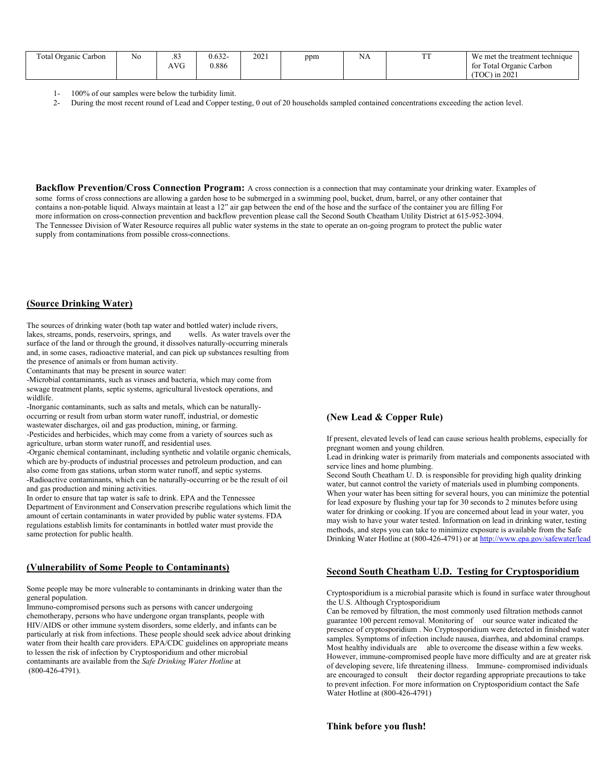| Total Organic Carbon | No | .83<br>AVG | 0.632-<br>0.886 | 2021 | ppm | $\sim$ $\sim$<br>ΝA | $T^{\prime}$<br>. . | We met the treatment technique<br>for Total Organic Carbon |
|----------------------|----|------------|-----------------|------|-----|---------------------|---------------------|------------------------------------------------------------|
|                      |    |            |                 |      |     |                     |                     | $\ln 2021$<br>(TOC)                                        |

- 1- 100% of our samples were below the turbidity limit.<br>2- During the most recent round of Lead and Conner te
- During the most recent round of Lead and Copper testing, 0 out of 20 households sampled contained concentrations exceeding the action level.

Backflow Prevention/Cross Connection Program: A cross connection is a connection that may contaminate your drinking water. Examples of some forms of cross connections are allowing a garden hose to be submerged in a swimming pool, bucket, drum, barrel, or any other container that contains a non-potable liquid. Always maintain at least a 12" air gap between the end of the hose and the surface of the container you are filling For more information on cross-connection prevention and backflow prevention please call the Second South Cheatham Utility District at 615-952-3094. The Tennessee Division of Water Resource requires all public water systems in the state to operate an on-going program to protect the public water supply from contaminations from possible cross-connections.

#### (Source Drinking Water)

The sources of drinking water (both tap water and bottled water) include rivers, lakes, streams, ponds, reservoirs, springs, and wells. As water travels over the surface of the land or through the ground, it dissolves naturally-occurring minerals and, in some cases, radioactive material, and can pick up substances resulting from the presence of animals or from human activity.

Contaminants that may be present in source water:

-Microbial contaminants, such as viruses and bacteria, which may come from sewage treatment plants, septic systems, agricultural livestock operations, and wildlife.

-Inorganic contaminants, such as salts and metals, which can be naturallyoccurring or result from urban storm water runoff, industrial, or domestic wastewater discharges, oil and gas production, mining, or farming.

-Pesticides and herbicides, which may come from a variety of sources such as agriculture, urban storm water runoff, and residential uses.

-Organic chemical contaminant, including synthetic and volatile organic chemicals, which are by-products of industrial processes and petroleum production, and can also come from gas stations, urban storm water runoff, and septic systems. -Radioactive contaminants, which can be naturally-occurring or be the result of oil and gas production and mining activities.

In order to ensure that tap water is safe to drink. EPA and the Tennessee Department of Environment and Conservation prescribe regulations which limit the amount of certain contaminants in water provided by public water systems. FDA regulations establish limits for contaminants in bottled water must provide the same protection for public health.

#### (Vulnerability of Some People to Contaminants)

Some people may be more vulnerable to contaminants in drinking water than the general population.

Immuno-compromised persons such as persons with cancer undergoing chemotherapy, persons who have undergone organ transplants, people with HIV/AIDS or other immune system disorders, some elderly, and infants can be particularly at risk from infections. These people should seek advice about drinking water from their health care providers. EPA/CDC guidelines on appropriate means to lessen the risk of infection by Cryptosporidium and other microbial contaminants are available from the Safe Drinking Water Hotline at (800-426-4791).

#### (New Lead & Copper Rule)

If present, elevated levels of lead can cause serious health problems, especially for pregnant women and young children.

Lead in drinking water is primarily from materials and components associated with service lines and home plumbing.

Second South Cheatham U. D. is responsible for providing high quality drinking water, but cannot control the variety of materials used in plumbing components. When your water has been sitting for several hours, you can minimize the potential for lead exposure by flushing your tap for 30 seconds to 2 minutes before using water for drinking or cooking. If you are concerned about lead in your water, you may wish to have your water tested. Information on lead in drinking water, testing methods, and steps you can take to minimize exposure is available from the Safe Drinking Water Hotline at (800-426-4791) or at http://www.epa.gov/safewater/lead

#### Second South Cheatham U.D. Testing for Cryptosporidium

Cryptosporidium is a microbial parasite which is found in surface water throughout the U.S. Although Cryptosporidium

Can be removed by filtration, the most commonly used filtration methods cannot guarantee 100 percent removal. Monitoring of our source water indicated the presence of cryptosporidium . No Cryptosporidium were detected in finished water samples. Symptoms of infection include nausea, diarrhea, and abdominal cramps. Most healthy individuals are able to overcome the disease within a few weeks. However, immune-compromised people have more difficulty and are at greater risk of developing severe, life threatening illness. Immune- compromised individuals are encouraged to consult their doctor regarding appropriate precautions to take to prevent infection. For more information on Cryptosporidium contact the Safe Water Hotline at (800-426-4791)